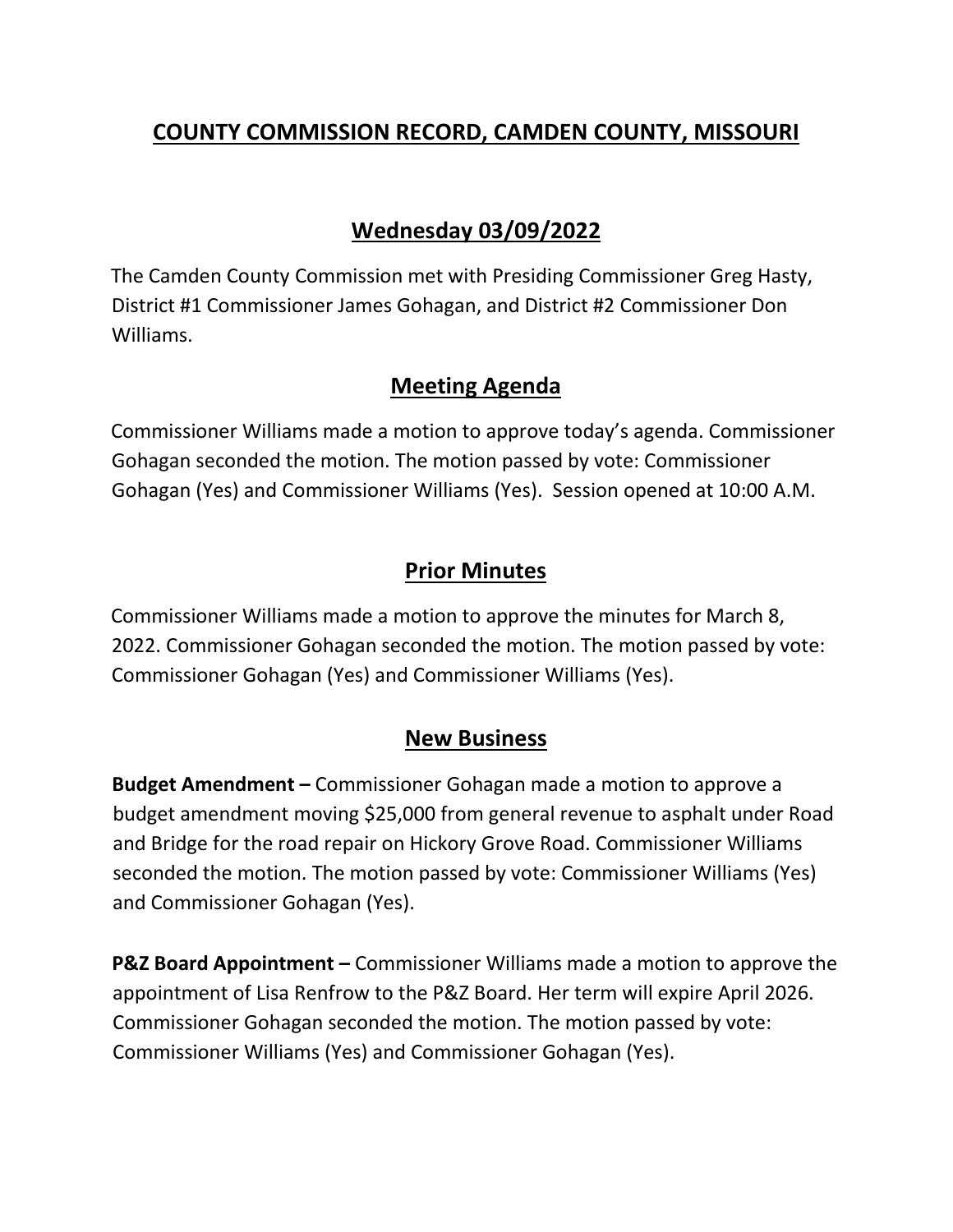# **COUNTY COMMISSION RECORD, CAMDEN COUNTY, MISSOURI**

## **Wednesday 03/09/2022**

The Camden County Commission met with Presiding Commissioner Greg Hasty, District #1 Commissioner James Gohagan, and District #2 Commissioner Don Williams.

### **Meeting Agenda**

Commissioner Williams made a motion to approve today's agenda. Commissioner Gohagan seconded the motion. The motion passed by vote: Commissioner Gohagan (Yes) and Commissioner Williams (Yes). Session opened at 10:00 A.M.

### **Prior Minutes**

Commissioner Williams made a motion to approve the minutes for March 8, 2022. Commissioner Gohagan seconded the motion. The motion passed by vote: Commissioner Gohagan (Yes) and Commissioner Williams (Yes).

#### **New Business**

**Budget Amendment –** Commissioner Gohagan made a motion to approve a budget amendment moving \$25,000 from general revenue to asphalt under Road and Bridge for the road repair on Hickory Grove Road. Commissioner Williams seconded the motion. The motion passed by vote: Commissioner Williams (Yes) and Commissioner Gohagan (Yes).

**P&Z Board Appointment –** Commissioner Williams made a motion to approve the appointment of Lisa Renfrow to the P&Z Board. Her term will expire April 2026. Commissioner Gohagan seconded the motion. The motion passed by vote: Commissioner Williams (Yes) and Commissioner Gohagan (Yes).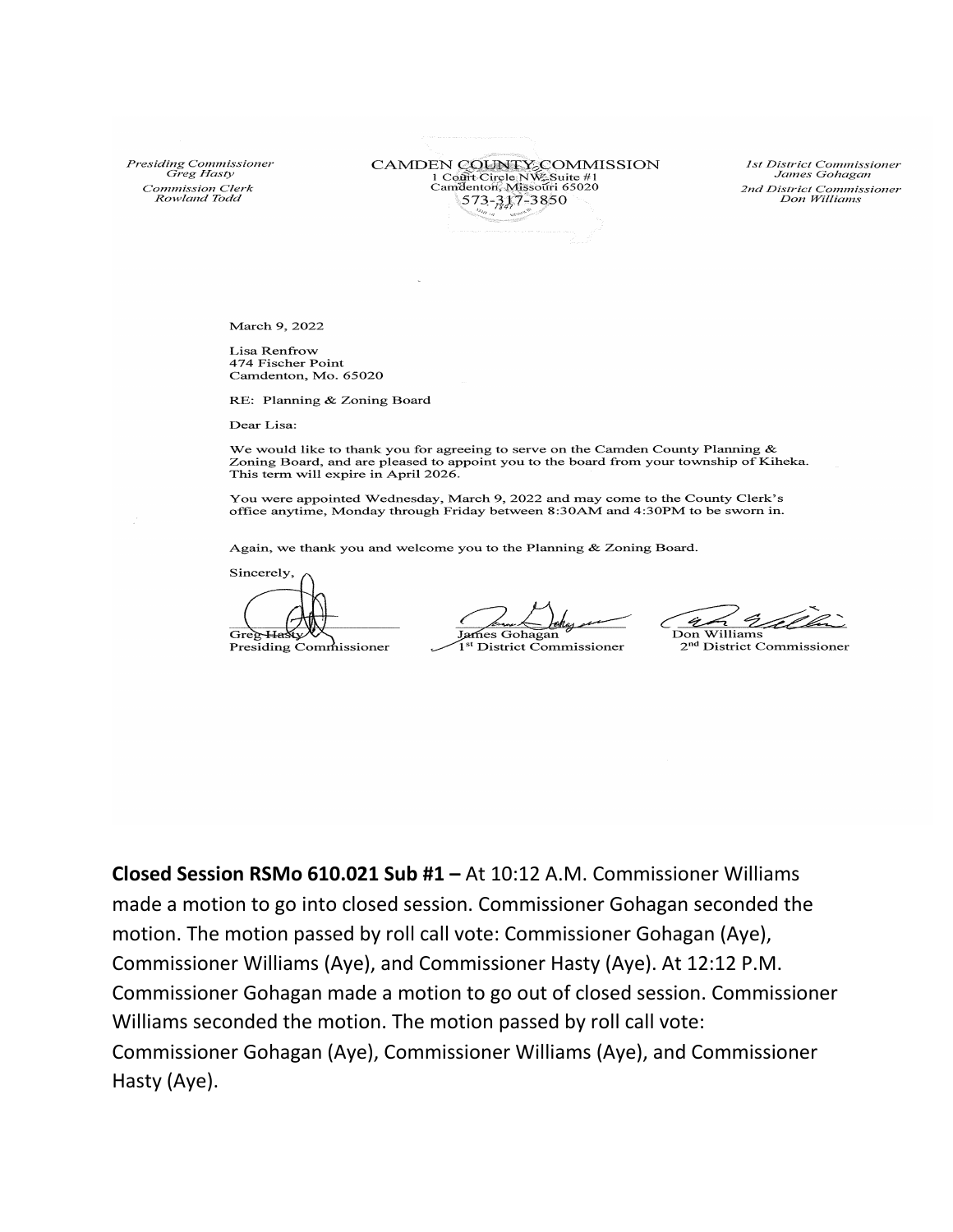Presiding Commissioner Greg Hasty Commission Clerk<br>Rowland Todd

CAMDEN COUNTY COMMISSION 1 Cont Circle NW Suite #1<br>Camdenton, Missouri 65020 573-317-3850

1st District Commissioner James Gohagan 2nd District Commissioner<br>Don Williams

March 9, 2022

Lisa Renfrow 474 Fischer Point Camdenton, Mo. 65020

RE: Planning & Zoning Board

Dear Lisa:

We would like to thank you for agreeing to serve on the Camden County Planning  $\&$ Zoning Board, and are pleased to appoint you to the board from your township of Kiheka. This term will expire in April 2026.

You were appointed Wednesday, March 9, 2022 and may come to the County Clerk's office anytime, Monday through Friday between 8:30AM and 4:30PM to be sworn in.

Again, we thank you and welcome you to the Planning & Zoning Board.

Sincerely Gree-Hasty

Presiding Commissioner

James Gohagan 1<sup>st</sup> District Commissioner

<u> Ukl</u> ir. Don Williams

2<sup>nd</sup> District Commissioner

Closed Session RSMo 610.021 Sub #1 - At 10:12 A.M. Commissioner Williams made a motion to go into closed session. Commissioner Gohagan seconded the motion. The motion passed by roll call vote: Commissioner Gohagan (Aye), Commissioner Williams (Aye), and Commissioner Hasty (Aye). At 12:12 P.M. Commissioner Gohagan made a motion to go out of closed session. Commissioner Williams seconded the motion. The motion passed by roll call vote: Commissioner Gohagan (Aye), Commissioner Williams (Aye), and Commissioner Hasty (Aye).